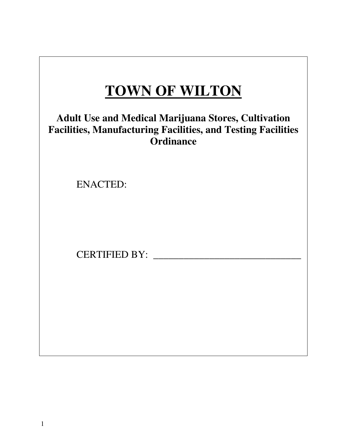# **TOWN OF WILTON**

# **Adult Use and Medical Marijuana Stores, Cultivation Facilities, Manufacturing Facilities, and Testing Facilities Ordinance**

ENACTED:

CERTIFIED BY: \_\_\_\_\_\_\_\_\_\_\_\_\_\_\_\_\_\_\_\_\_\_\_\_\_\_\_\_\_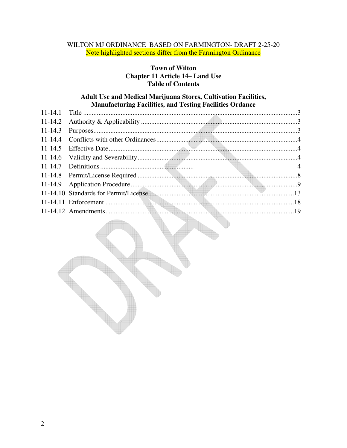# WILTON MJ ORDINANCE BASED ON FARMINGTON- DRAFT 2-25-20 Note highlighted sections differ from the Farmington Ordinance

# **Town of Wilton Chapter 11 Article 14– Land Use Table of Contents**

#### **Adult Use and Medical Marijuana Stores, Cultivation Facilities, Manufacturing Facilities, and Testing Facilities Ordance**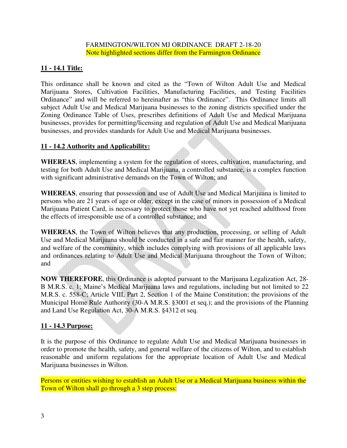# **11 - 14.1 Title:**

This ordinance shall be known and cited as the "Town of Wilton Adult Use and Medical Marijuana Stores, Cultivation Facilities, Manufacturing Facilities, and Testing Facilities Ordinance" and will be referred to hereinafter as "this Ordinance". This Ordinance limits all subject Adult Use and Medical Marijuana businesses to the zoning districts specified under the Zoning Ordinance Table of Uses, prescribes definitions of Adult Use and Medical Marijuana businesses, provides for permitting/licensing and regulation of Adult Use and Medical Marijuana businesses, and provides standards for Adult Use and Medical Marijuana businesses.

# **11 - 14.2 Authority and Applicability:**

**WHEREAS**, implementing a system for the regulation of stores, cultivation, manufacturing, and testing for both Adult Use and Medical Marijuana, a controlled substance, is a complex function with significant administrative demands on the Town of Wilton; and

**WHEREAS**, ensuring that possession and use of Adult Use and Medical Marijuana is limited to persons who are 21 years of age or older, except in the case of minors in possession of a Medical Marijuana Patient Card, is necessary to protect those who have not yet reached adulthood from the effects of irresponsible use of a controlled substance; and

**WHEREAS**, the Town of Wilton believes that any production, processing, or selling of Adult Use and Medical Marijuana should be conducted in a safe and fair manner for the health, safety, and welfare of the community, which includes complying with provisions of all applicable laws and ordinances relating to Adult Use and Medical Marijuana throughout the Town of Wilton; and

**NOW THEREFORE**, this Ordinance is adopted pursuant to the Marijuana Legalization Act, 28- B M.R.S. c. 1; Maine's Medical Marijuana laws and regulations, including but not limited to 22 M.R.S. c. 558-C; Article VIII, Part 2, Section 1 of the Maine Constitution; the provisions of the Municipal Home Rule Authority (30-A M.R.S. §3001 et seq.); and the provisions of the Planning and Land Use Regulation Act, 30-A M.R.S. §4312 et seq.

# **11 - 14.3 Purpose:**

It is the purpose of this Ordinance to regulate Adult Use and Medical Marijuana businesses in order to promote the health, safety, and general welfare of the citizens of Wilton, and to establish reasonable and uniform regulations for the appropriate location of Adult Use and Medical Marijuana businesses in Wilton.

Persons or entities wishing to establish an Adult Use or a Medical Marijuana business within the Town of Wilton shall go through a 3 step process: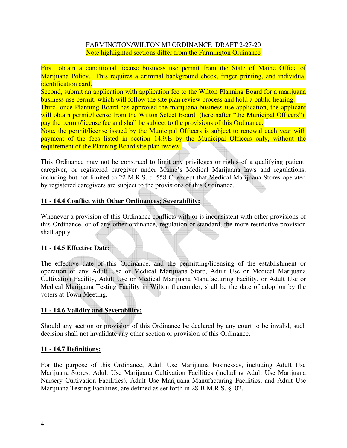First, obtain a conditional license business use permit from the State of Maine Office of Marijuana Policy. This requires a criminal background check, finger printing, and individual identification card.

Second, submit an application with application fee to the Wilton Planning Board for a marijuana business use permit, which will follow the site plan review process and hold a public hearing.

Third, once Planning Board has approved the marijuana business use application, the applicant will obtain permit/license from the Wilton Select Board (hereinafter "the Municipal Officers"), pay the permit/license fee and shall be subject to the provisions of this Ordinance.

Note, the permit/license issued by the Municipal Officers is subject to renewal each year with payment of the fees listed in section 14.9.E by the Municipal Officers only, without the requirement of the Planning Board site plan review.

This Ordinance may not be construed to limit any privileges or rights of a qualifying patient, caregiver, or registered caregiver under Maine's Medical Marijuana laws and regulations, including but not limited to 22 M.R.S. c. 558-C, except that Medical Marijuana Stores operated by registered caregivers are subject to the provisions of this Ordinance.

# **11 - 14.4 Conflict with Other Ordinances; Severability:**

Whenever a provision of this Ordinance conflicts with or is inconsistent with other provisions of this Ordinance, or of any other ordinance, regulation or standard, the more restrictive provision shall apply.

# **11 - 14.5 Effective Date:**

The effective date of this Ordinance, and the permitting/licensing of the establishment or operation of any Adult Use or Medical Marijuana Store, Adult Use or Medical Marijuana Cultivation Facility, Adult Use or Medical Marijuana Manufacturing Facility, or Adult Use or Medical Marijuana Testing Facility in Wilton thereunder, shall be the date of adoption by the voters at Town Meeting.

# **11 - 14.6 Validity and Severability:**

Should any section or provision of this Ordinance be declared by any court to be invalid, such decision shall not invalidate any other section or provision of this Ordinance.

# **11 - 14.7 Definitions:**

For the purpose of this Ordinance, Adult Use Marijuana businesses, including Adult Use Marijuana Stores, Adult Use Marijuana Cultivation Facilities (including Adult Use Marijuana Nursery Cultivation Facilities), Adult Use Marijuana Manufacturing Facilities, and Adult Use Marijuana Testing Facilities, are defined as set forth in 28-B M.R.S. §102.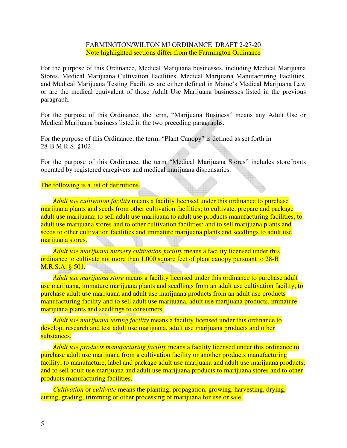For the purpose of this Ordinance, Medical Marijuana businesses, including Medical Marijuana Stores, Medical Marijuana Cultivation Facilities, Medical Marijuana Manufacturing Facilities, and Medical Marijuana Testing Facilities are either defined in Maine's Medical Marijuana Law or are the medical equivalent of those Adult Use Marijuana businesses listed in the previous paragraph.

For the purpose of this Ordinance, the term, "Marijuana Business" means any Adult Use or Medical Marijuana business listed in the two preceding paragraphs.

For the purpose of this Ordinance, the term, "Plant Canopy" is defined as set forth in 28-B M.R.S. §102.

For the purpose of this Ordinance, the term "Medical Marijuana Stores" includes storefronts operated by registered caregivers and medical marijuana dispensaries.

The following is a list of definitions.

*Adult use cultivation facility* means a facility licensed under this ordinance to purchase marijuana plants and seeds from other cultivation facilities; to cultivate, prepare and package adult use marijuana; to sell adult use marijuana to adult use products manufacturing facilities, to adult use marijuana stores and to other cultivation facilities; and to sell marijuana plants and seeds to other cultivation facilities and immature marijuana plants and seedlings to adult use marijuana stores.

*Adult use marijuana nursery cultivation facility* means a facility licensed under this ordinance to cultivate not more than 1,000 square feet of plant canopy pursuant to 28-B M.R.S.A. § 501.

*Adult use marijuana store* means a facility licensed under this ordinance to purchase adult use marijuana, immature marijuana plants and seedlings from an adult use cultivation facility, to purchase adult use marijuana and adult use marijuana products from an adult use products manufacturing facility and to sell adult use marijuana, adult use marijuana products, immature marijuana plants and seedlings to consumers.

*Adult use marijuana testing facility* means a facility licensed under this ordinance to develop, research and test adult use marijuana, adult use marijuana products and other substances.

*Adult use products manufacturing facility* means a facility licensed under this ordinance to purchase adult use marijuana from a cultivation facility or another products manufacturing facility; to manufacture, label and package adult use marijuana and adult use marijuana products; and to sell adult use marijuana and adult use marijuana products to marijuana stores and to other products manufacturing facilities.

*Cultivation* or *cultivate* means the planting, propagation, growing, harvesting, drying, curing, grading, trimming or other processing of marijuana for use or sale.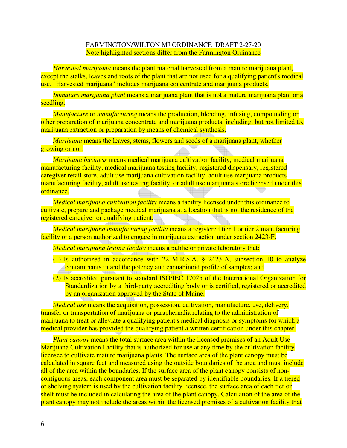*Harvested marijuana* means the plant material harvested from a mature marijuana plant, except the stalks, leaves and roots of the plant that are not used for a qualifying patient's medical use. "Harvested marijuana" includes marijuana concentrate and marijuana products.

*Immature marijuana plant* means a marijuana plant that is not a mature marijuana plant or a seedling.

*Manufacture* or *manufacturing* means the production, blending, infusing, compounding or other preparation of marijuana concentrate and marijuana products, including, but not limited to, marijuana extraction or preparation by means of chemical synthesis.

*Marijuana* means the leaves, stems, flowers and seeds of a marijuana plant, whether growing or not.

*Marijuana business* means medical marijuana cultivation facility, medical marijuana manufacturing facility, medical marijuana testing facility, registered dispensary, registered caregiver retail store, adult use marijuana cultivation facility, adult use marijuana products manufacturing facility, adult use testing facility, or adult use marijuana store licensed under this ordinance.

*Medical marijuana cultivation facility* means a facility licensed under this ordinance to cultivate, prepare and package medical marijuana at a location that is not the residence of the registered caregiver or qualifying patient.

*Medical marijuana manufacturing facility* means a registered tier 1 or tier 2 manufacturing facility or a person authorized to engage in marijuana extraction under section 2423-F.

*Medical marijuana testing facility* means a public or private laboratory that:

- (1) Is authorized in accordance with 22 M.R.S.A. § 2423-A, subsection 10 to analyze contaminants in and the potency and cannabinoid profile of samples; and
- (2) Is accredited pursuant to standard ISO/IEC 17025 of the International Organization for Standardization by a third-party accrediting body or is certified, registered or accredited by an organization approved by the State of Maine.

*Medical use* means the acquisition, possession, cultivation, manufacture, use, delivery, transfer or transportation of marijuana or paraphernalia relating to the administration of marijuana to treat or alleviate a qualifying patient's medical diagnosis or symptoms for which a medical provider has provided the qualifying patient a written certification under this chapter.

*Plant canopy* means the total surface area within the licensed premises of an Adult Use Marijuana Cultivation Facility that is authorized for use at any time by the cultivation facility licensee to cultivate mature marijuana plants. The surface area of the plant canopy must be calculated in square feet and measured using the outside boundaries of the area and must include all of the area within the boundaries. If the surface area of the plant canopy consists of noncontiguous areas, each component area must be separated by identifiable boundaries. If a tiered or shelving system is used by the cultivation facility licensee, the surface area of each tier or shelf must be included in calculating the area of the plant canopy. Calculation of the area of the plant canopy may not include the areas within the licensed premises of a cultivation facility that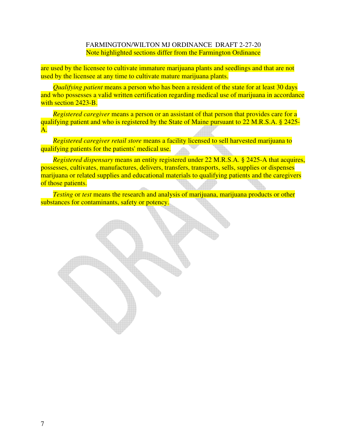are used by the licensee to cultivate immature marijuana plants and seedlings and that are not used by the licensee at any time to cultivate mature marijuana plants.

*Qualifying patient* means a person who has been a resident of the state for at least 30 days and who possesses a valid written certification regarding medical use of marijuana in accordance with section 2423-B.

*Registered caregiver* means a person or an assistant of that person that provides care for a qualifying patient and who is registered by the State of Maine pursuant to 22 M.R.S.A. § 2425- A.

*Registered caregiver retail store* means a facility licensed to sell harvested marijuana to qualifying patients for the patients' medical use.

*Registered dispensary* means an entity registered under 22 M.R.S.A. § 2425-A that acquires, possesses, cultivates, manufactures, delivers, transfers, transports, sells, supplies or dispenses marijuana or related supplies and educational materials to qualifying patients and the caregivers of those patients.

*Testing* or *test* means the research and analysis of marijuana, marijuana products or other substances for contaminants, safety or potency.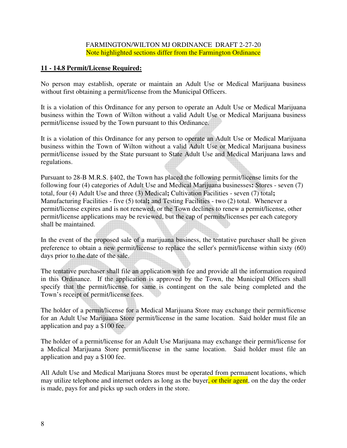### **11 - 14.8 Permit/License Required:**

No person may establish, operate or maintain an Adult Use or Medical Marijuana business without first obtaining a permit/license from the Municipal Officers.

It is a violation of this Ordinance for any person to operate an Adult Use or Medical Marijuana business within the Town of Wilton without a valid Adult Use or Medical Marijuana business permit/license issued by the Town pursuant to this Ordinance.

It is a violation of this Ordinance for any person to operate an Adult Use or Medical Marijuana business within the Town of Wilton without a valid Adult Use or Medical Marijuana business permit/license issued by the State pursuant to State Adult Use and Medical Marijuana laws and regulations.

Pursuant to 28-B M.R.S. §402, the Town has placed the following permit/license limits for the following four (4) categories of Adult Use and Medical Marijuana businesses**:** Stores - seven (7) total, four (4) Adult Use and three (3) Medical**;** Cultivation Facilities - seven (7) total**;** Manufacturing Facilities - five (5) total**;** and Testing Facilities - two (2) total. Whenever a permit/license expires and is not renewed, or the Town declines to renew a permit/license, other permit/license applications may be reviewed, but the cap of permits/licenses per each category shall be maintained.

In the event of the proposed sale of a marijuana business, the tentative purchaser shall be given preference to obtain a new permit/license to replace the seller's permit/license within sixty (60) days prior to the date of the sale.

The tentative purchaser shall file an application with fee and provide all the information required in this Ordinance. If the application is approved by the Town, the Municipal Officers shall specify that the permit/license for same is contingent on the sale being completed and the Town's receipt of permit/license fees.

The holder of a permit/license for a Medical Marijuana Store may exchange their permit/license for an Adult Use Marijuana Store permit/license in the same location. Said holder must file an application and pay a \$100 fee.

The holder of a permit/license for an Adult Use Marijuana may exchange their permit/license for a Medical Marijuana Store permit/license in the same location. Said holder must file an application and pay a \$100 fee.

All Adult Use and Medical Marijuana Stores must be operated from permanent locations, which may utilize telephone and internet orders as long as the buyer, or their agent, on the day the order is made, pays for and picks up such orders in the store.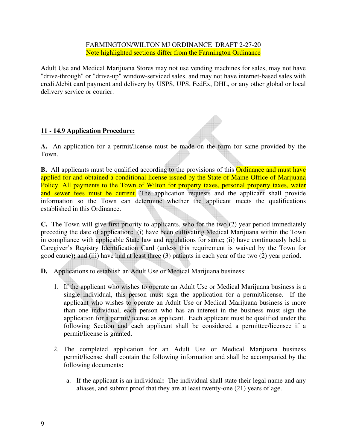Adult Use and Medical Marijuana Stores may not use vending machines for sales, may not have "drive-through" or "drive-up" window-serviced sales, and may not have internet-based sales with credit/debit card payment and delivery by USPS, UPS, FedEx, DHL, or any other global or local delivery service or courier.

# **11 - 14.9 Application Procedure:**

**A.** An application for a permit/license must be made on the form for same provided by the Town.

**B.** All applicants must be qualified according to the provisions of this **Ordinance and must have** applied for and obtained a conditional license issued by the State of Maine Office of Marijuana Policy. All payments to the Town of Wilton for property taxes, personal property taxes, water and sewer fees must be current. The application requests and the applicant shall provide information so the Town can determine whether the applicant meets the qualifications established in this Ordinance.

**C.** The Town will give first priority to applicants, who for the two (2) year period immediately preceding the date of application**:** (i) have been cultivating Medical Marijuana within the Town in compliance with applicable State law and regulations for same**;** (ii) have continuously held a Caregiver's Registry Identification Card (unless this requirement is waived by the Town for good cause)**;** and (iii) have had at least three (3) patients in each year of the two (2) year period.

- **D.** Applications to establish an Adult Use or Medical Marijuana business:
	- 1. If the applicant who wishes to operate an Adult Use or Medical Marijuana business is a single individual, this person must sign the application for a permit/license. If the applicant who wishes to operate an Adult Use or Medical Marijuana business is more than one individual, each person who has an interest in the business must sign the application for a permit/license as applicant. Each applicant must be qualified under the following Section and each applicant shall be considered a permittee/licensee if a permit/license is granted.
	- 2. The completed application for an Adult Use or Medical Marijuana business permit/license shall contain the following information and shall be accompanied by the following documents**:**
		- a. If the applicant is an individual**:** The individual shall state their legal name and any aliases, and submit proof that they are at least twenty-one (21) years of age.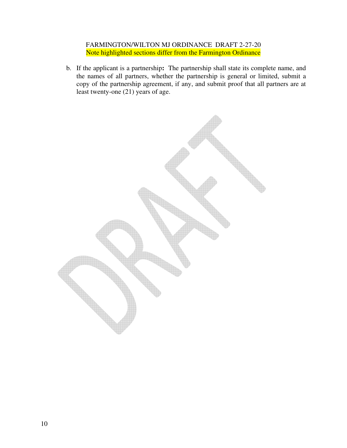b. If the applicant is a partnership**:** The partnership shall state its complete name, and the names of all partners, whether the partnership is general or limited, submit a copy of the partnership agreement, if any, and submit proof that all partners are at least twenty-one  $(21)$  years of age.

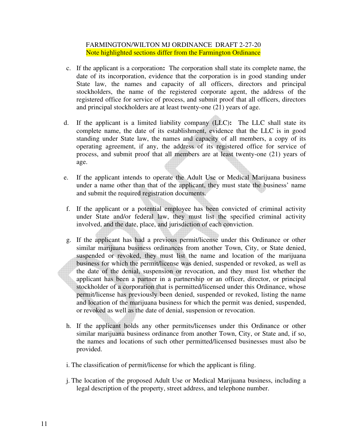- c. If the applicant is a corporation**:** The corporation shall state its complete name, the date of its incorporation, evidence that the corporation is in good standing under State law, the names and capacity of all officers, directors and principal stockholders, the name of the registered corporate agent, the address of the registered office for service of process, and submit proof that all officers, directors and principal stockholders are at least twenty-one (21) years of age.
- d. If the applicant is a limited liability company (LLC)**:** The LLC shall state its complete name, the date of its establishment, evidence that the LLC is in good standing under State law, the names and capacity of all members, a copy of its operating agreement, if any, the address of its registered office for service of process, and submit proof that all members are at least twenty-one (21) years of age.
- e. If the applicant intends to operate the Adult Use or Medical Marijuana business under a name other than that of the applicant, they must state the business' name and submit the required registration documents.
- f. If the applicant or a potential employee has been convicted of criminal activity under State and/or federal law, they must list the specified criminal activity involved, and the date, place, and jurisdiction of each conviction.
- g. If the applicant has had a previous permit/license under this Ordinance or other similar marijuana business ordinances from another Town, City, or State denied, suspended or revoked, they must list the name and location of the marijuana business for which the permit/license was denied, suspended or revoked, as well as the date of the denial, suspension or revocation, and they must list whether the applicant has been a partner in a partnership or an officer, director, or principal stockholder of a corporation that is permitted/licensed under this Ordinance, whose permit/license has previously been denied, suspended or revoked, listing the name and location of the marijuana business for which the permit was denied, suspended, or revoked as well as the date of denial, suspension or revocation.
- h. If the applicant holds any other permits/licenses under this Ordinance or other similar marijuana business ordinance from another Town, City, or State and, if so, the names and locations of such other permitted/licensed businesses must also be provided.
- i. The classification of permit/license for which the applicant is filing.
- j. The location of the proposed Adult Use or Medical Marijuana business, including a legal description of the property, street address, and telephone number.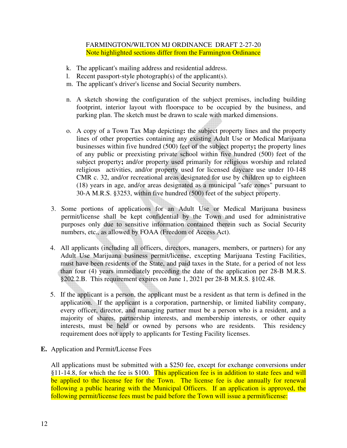- k. The applicant's mailing address and residential address.
- l. Recent passport-style photograph(s) of the applicant(s).
- m. The applicant's driver's license and Social Security numbers.
- n. A sketch showing the configuration of the subject premises, including building footprint, interior layout with floorspace to be occupied by the business, and parking plan. The sketch must be drawn to scale with marked dimensions.
- o. A copy of a Town Tax Map depicting**:** the subject property lines and the property lines of other properties containing any existing Adult Use or Medical Marijuana businesses within five hundred (500) feet of the subject property**;** the property lines of any public or preexisting private school within five hundred (500) feet of the subject property**;** and/or property used primarily for religious worship and related religious activities, and/or property used for licensed daycare use under 10-148 CMR c. 32, and/or recreational areas designated for use by children up to eighteen (18) years in age, and/or areas designated as a municipal "safe zones" pursuant to 30-A M.R.S. §3253, within five hundred (500) feet of the subject property.
- 3. Some portions of applications for an Adult Use or Medical Marijuana business permit/license shall be kept confidential by the Town and used for administrative purposes only due to sensitive information contained therein such as Social Security numbers, etc., as allowed by FOAA (Freedom of Access Act).
- 4. All applicants (including all officers, directors, managers, members, or partners) for any Adult Use Marijuana business permit/license, excepting Marijuana Testing Facilities, must have been residents of the State, and paid taxes in the State, for a period of not less than four (4) years immediately preceding the date of the application per 28-B M.R.S. §202.2.B. This requirement expires on June 1, 2021 per 28-B M.R.S. §102.48.
- 5. If the applicant is a person, the applicant must be a resident as that term is defined in the application. If the applicant is a corporation, partnership, or limited liability company, every officer, director, and managing partner must be a person who is a resident, and a majority of shares, partnership interests, and membership interests, or other equity interests, must be held or owned by persons who are residents. This residency requirement does not apply to applicants for Testing Facility licenses.
- **E.** Application and Permit/License Fees

All applications must be submitted with a \$250 fee, except for exchange conversions under  $§11-14.8$ , for which the fee is \$100. This application fee is in addition to state fees and will be applied to the license fee for the Town. The license fee is due annually for renewal following a public hearing with the Municipal Officers. If an application is approved, the following permit/license fees must be paid before the Town will issue a permit/license: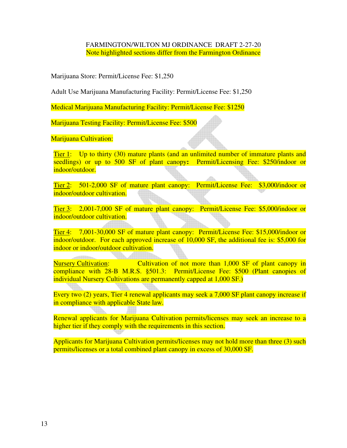Marijuana Store: Permit/License Fee: \$1,250

Adult Use Marijuana Manufacturing Facility: Permit/License Fee: \$1,250

Medical Marijuana Manufacturing Facility: Permit/License Fee: \$1250

Marijuana Testing Facility: Permit/License Fee: \$500

Marijuana Cultivation:

Tier 1: Up to thirty (30) mature plants (and an unlimited number of immature plants and seedlings) or up to 500 SF of plant canopy**:** Permit/Licensing Fee: \$250/indoor or indoor/outdoor.

Tier 2: 501-2,000 SF of mature plant canopy: Permit/License Fee: \$3,000/indoor or indoor/outdoor cultivation.

Tier 3: 2,001-7,000 SF of mature plant canopy: Permit/License Fee: \$5,000/indoor or indoor/outdoor cultivation.

Tier 4: 7,001-30,000 SF of mature plant canopy: Permit/License Fee: \$15,000/indoor or indoor/outdoor. For each approved increase of 10,000 SF, the additional fee is: \$5,000 for indoor or indoor/outdoor cultivation.

Nursery Cultivation: Cultivation of not more than 1,000 SF of plant canopy in compliance with 28-B M.R.S. §501.3: Permit/License Fee: \$500 (Plant canopies of individual Nursery Cultivations are permanently capped at 1,000 SF.)

Every two (2) years, Tier 4 renewal applicants may seek a 7,000 SF plant canopy increase if in compliance with applicable State law.

Renewal applicants for Marijuana Cultivation permits/licenses may seek an increase to a higher tier if they comply with the requirements in this section.

Applicants for Marijuana Cultivation permits/licenses may not hold more than three (3) such permits/licenses or a total combined plant canopy in excess of 30,000 SF.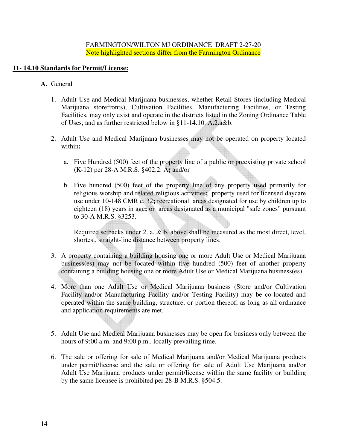# **11- 14.10 Standards for Permit/License:**

- **A.** General
	- 1. Adult Use and Medical Marijuana businesses, whether Retail Stores (including Medical Marijuana storefronts), Cultivation Facilities, Manufacturing Facilities, or Testing Facilities, may only exist and operate in the districts listed in the Zoning Ordinance Table of Uses, and as further restricted below in §11-14.10. A.2.a&b.
	- 2. Adult Use and Medical Marijuana businesses may not be operated on property located within**:** 
		- a. Five Hundred (500) feet of the property line of a public or preexisting private school (K-12) per 28-A M.R.S. §402.2. A**;** and/or
		- b. Five hundred (500) feet of the property line of any property used primarily for religious worship and related religious activities**;** property used for licensed daycare use under 10-148 CMR c. 32**;** recreational areas designated for use by children up to eighteen (18) years in age**;** or areas designated as a municipal "safe zones" pursuant to 30-A M.R.S. §3253.

Required setbacks under 2. a. & b. above shall be measured as the most direct, level, shortest, straight-line distance between property lines.

- 3. A property containing a building housing one or more Adult Use or Medical Marijuana business(es) may not be located within five hundred (500) feet of another property containing a building housing one or more Adult Use or Medical Marijuana business(es).
- 4. More than one Adult Use or Medical Marijuana business (Store and/or Cultivation Facility and/or Manufacturing Facility and/or Testing Facility) may be co-located and operated within the same building, structure, or portion thereof, as long as all ordinance and application requirements are met.
- 5. Adult Use and Medical Marijuana businesses may be open for business only between the hours of 9:00 a.m. and 9:00 p.m., locally prevailing time.
- 6. The sale or offering for sale of Medical Marijuana and/or Medical Marijuana products under permit/license and the sale or offering for sale of Adult Use Marijuana and/or Adult Use Marijuana products under permit/license within the same facility or building by the same licensee is prohibited per 28-B M.R.S. §504.5.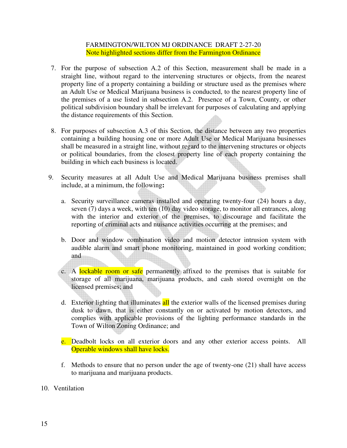- 7. For the purpose of subsection A.2 of this Section, measurement shall be made in a straight line, without regard to the intervening structures or objects, from the nearest property line of a property containing a building or structure used as the premises where an Adult Use or Medical Marijuana business is conducted, to the nearest property line of the premises of a use listed in subsection A.2. Presence of a Town, County, or other political subdivision boundary shall be irrelevant for purposes of calculating and applying the distance requirements of this Section.
- 8. For purposes of subsection A.3 of this Section, the distance between any two properties containing a building housing one or more Adult Use or Medical Marijuana businesses shall be measured in a straight line, without regard to the intervening structures or objects or political boundaries, from the closest property line of each property containing the building in which each business is located.
- 9. Security measures at all Adult Use and Medical Marijuana business premises shall include, at a minimum, the following**:** 
	- a. Security surveillance cameras installed and operating twenty-four (24) hours a day, seven (7) days a week, with ten (10) day video storage, to monitor all entrances, along with the interior and exterior of the premises, to discourage and facilitate the reporting of criminal acts and nuisance activities occurring at the premises; and
	- b. Door and window combination video and motion detector intrusion system with audible alarm and smart phone monitoring, maintained in good working condition; and
	- c. A lockable room or safe permanently affixed to the premises that is suitable for storage of all marijuana, marijuana products, and cash stored overnight on the licensed premises; and
	- d. Exterior lighting that illuminates all the exterior walls of the licensed premises during dusk to dawn, that is either constantly on or activated by motion detectors, and complies with applicable provisions of the lighting performance standards in the Town of Wilton Zoning Ordinance; and
	- e. Deadbolt locks on all exterior doors and any other exterior access points. All Operable windows shall have locks.
	- f. Methods to ensure that no person under the age of twenty-one (21) shall have access to marijuana and marijuana products.

#### 10. Ventilation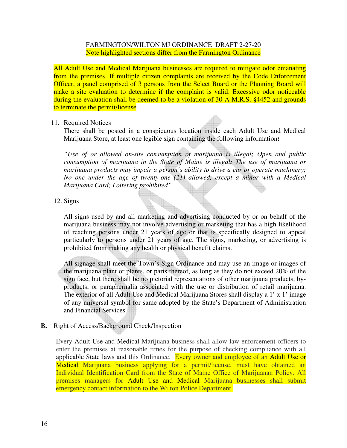All Adult Use and Medical Marijuana businesses are required to mitigate odor emanating from the premises. If multiple citizen complaints are received by the Code Enforcement Officer, a panel comprised of 3 persons from the Select Board or the Planning Board will make a site evaluation to determine if the complaint is valid. Excessive odor noticeable during the evaluation shall be deemed to be a violation of 30-A M.R.S. §4452 and grounds to terminate the permit/license.

#### 11. Required Notices

 There shall be posted in a conspicuous location inside each Adult Use and Medical Marijuana Store, at least one legible sign containing the following information**:** 

 *"Use of or allowed on-site consumption of marijuana is illegal; Open and public consumption of marijuana in the State of Maine is illegal; The use of marijuana or marijuana products may impair a person's ability to drive a car or operate machinery; No one under the age of twenty-one (21) allowed, except a minor with a Medical Marijuana Card; Loitering prohibited".* 

#### 12. Signs

 All signs used by and all marketing and advertising conducted by or on behalf of the marijuana business may not involve advertising or marketing that has a high likelihood of reaching persons under 21 years of age or that is specifically designed to appeal particularly to persons under 21 years of age. The signs, marketing, or advertising is prohibited from making any health or physical benefit claims.

 All signage shall meet the Town's Sign Ordinance and may use an image or images of the marijuana plant or plants, or parts thereof, as long as they do not exceed 20% of the sign face, but there shall be no pictorial representations of other marijuana products, byproducts, or paraphernalia associated with the use or distribution of retail marijuana. The exterior of all Adult Use and Medical Marijuana Stores shall display a 1' x 1' image of any universal symbol for same adopted by the State's Department of Administration and Financial Services.

#### **B.** Right of Access/Background Check/Inspection

Every Adult Use and Medical Marijuana business shall allow law enforcement officers to enter the premises at reasonable times for the purpose of checking compliance with all applicable State laws and this Ordinance. Every owner and employee of an Adult Use or Medical Marijuana business applying for a permit/license, must have obtained an Individual Identification Card from the State of Maine Office of Marijuanan Policy. All premises managers for Adult Use and Medical Marijuana businesses shall submit emergency contact information to the Wilton Police Department.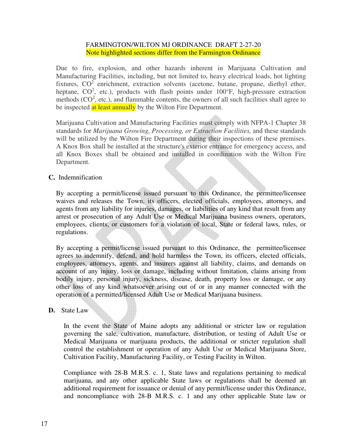Due to fire, explosion, and other hazards inherent in Marijuana Cultivation and Manufacturing Facilities, including, but not limited to, heavy electrical loads, hot lighting fixtures,  $CO<sup>2</sup>$  enrichment, extraction solvents (acetone, butane, propane, diethyl ether, heptane,  $CO^2$ , etc.), products with flash points under 100°F, high-pressure extraction methods  $(CO<sup>2</sup>, etc.),$  and flammable contents, the owners of all such facilities shall agree to be inspected at least annually by the Wilton Fire Department.

Marijuana Cultivation and Manufacturing Facilities must comply with NFPA-1 Chapter 38 standards for *Marijuana Growing, Processing, or Extraction Facilities,* and these standards will be utilized by the Wilton Fire Department during their inspections of these premises. A Knox Box shall be installed at the structure's exterior entrance for emergency access, and all Knox Boxes shall be obtained and installed in coordination with the Wilton Fire Department.

#### **C.** Indemnification

By accepting a permit/license issued pursuant to this Ordinance, the permittee/licensee waives and releases the Town, its officers, elected officials, employees, attorneys, and agents from any liability for injuries, damages, or liabilities of any kind that result from any arrest or prosecution of any Adult Use or Medical Marijuana business owners, operators, employees, clients, or customers for a violation of local, State or federal laws, rules, or regulations.

By accepting a permit/license issued pursuant to this Ordinance, the permittee/licensee agrees to indemnify, defend, and hold harmless the Town, its officers, elected officials, employees, attorneys, agents, and insurers against all liability, claims, and demands on account of any injury, loss or damage, including without limitation, claims arising from bodily injury, personal injury, sickness, disease, death, property loss or damage, or any other loss of any kind whatsoever arising out of or in any manner connected with the operation of a permitted/licensed Adult Use or Medical Marijuana business.

#### **D.** State Law

In the event the State of Maine adopts any additional or stricter law or regulation governing the sale, cultivation, manufacture, distribution, or testing of Adult Use or Medical Marijuana or marijuana products, the additional or stricter regulation shall control the establishment or operation of any Adult Use or Medical Marijuana Store, Cultivation Facility, Manufacturing Facility, or Testing Facility in Wilton.

Compliance with 28-B M.R.S. c. 1, State laws and regulations pertaining to medical marijuana, and any other applicable State laws or regulations shall be deemed an additional requirement for issuance or denial of any permit/license under this Ordinance, and noncompliance with 28-B M.R.S. c. 1 and any other applicable State law or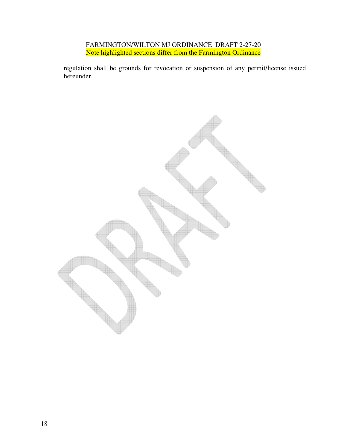regulation shall be grounds for revocation or suspension of any permit/license issued hereunder.

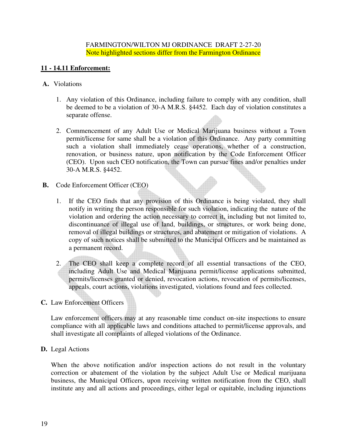# **11 - 14.11 Enforcement:**

#### **A.** Violations

- 1. Any violation of this Ordinance, including failure to comply with any condition, shall be deemed to be a violation of 30-A M.R.S. §4452. Each day of violation constitutes a separate offense.
- 2. Commencement of any Adult Use or Medical Marijuana business without a Town permit/license for same shall be a violation of this Ordinance.Any party committing such a violation shall immediately cease operations, whether of a construction, renovation, or business nature, upon notification by the Code Enforcement Officer (CEO). Upon such CEO notification, the Town can pursue fines and/or penalties under 30-A M.R.S. §4452.
- **B.** Code Enforcement Officer (CEO)
	- 1. If the CEO finds that any provision of this Ordinance is being violated, they shall notify in writing the person responsible for such violation, indicating the nature of the violation and ordering the action necessary to correct it, including but not limited to, discontinuance of illegal use of land, buildings, or structures, or work being done, removal of illegal buildings or structures, and abatement or mitigation of violations. A copy of such notices shall be submitted to the Municipal Officers and be maintained as a permanent record.
	- 2. The CEO shall keep a complete record of all essential transactions of the CEO, including Adult Use and Medical Marijuana permit/license applications submitted, permits/licenses granted or denied, revocation actions, revocation of permits/licenses, appeals, court actions, violations investigated, violations found and fees collected.

# **C.** Law Enforcement Officers

Law enforcement officers may at any reasonable time conduct on-site inspections to ensure compliance with all applicable laws and conditions attached to permit/license approvals, and shall investigate all complaints of alleged violations of the Ordinance.

# **D.** Legal Actions

When the above notification and/or inspection actions do not result in the voluntary correction or abatement of the violation by the subject Adult Use or Medical marijuana business, the Municipal Officers, upon receiving written notification from the CEO, shall institute any and all actions and proceedings, either legal or equitable, including injunctions